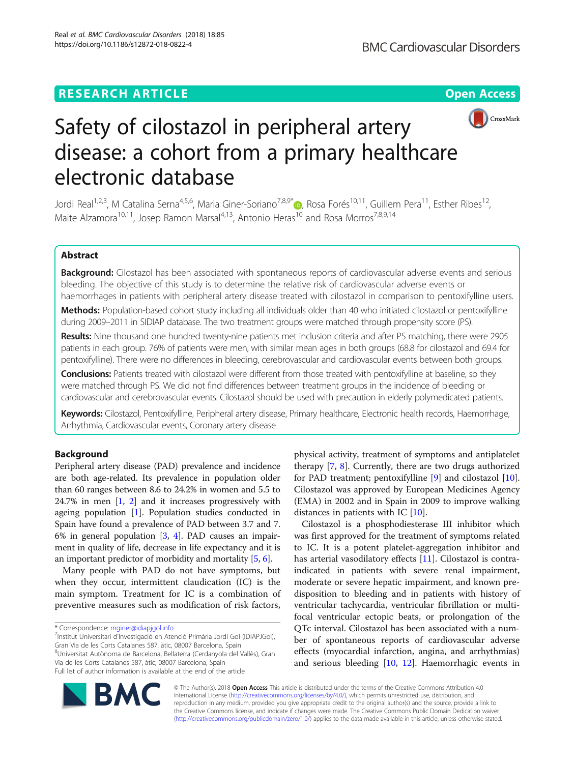# **RESEARCH ARTICLE Example 2014 12:30 The Open Access**



# Safety of cilostazol in peripheral artery disease: a cohort from a primary healthcare electronic database

Jordi Real<sup>1,2,3</sup>, M Catalina Serna<sup>4,5,6</sup>, Maria Giner-Soriano<sup>7,8,9[\\*](http://orcid.org/0000-0003-3750-9233)</sup> , Rosa Forés<sup>10,11</sup>, Guillem Pera<sup>11</sup>, Esther Ribes<sup>12</sup>, Maite Alzamora<sup>10,11</sup>, Josep Ramon Marsal<sup>4,13</sup>, Antonio Heras<sup>10</sup> and Rosa Morros<sup>7,8,9,14</sup>

# Abstract

Background: Cilostazol has been associated with spontaneous reports of cardiovascular adverse events and serious bleeding. The objective of this study is to determine the relative risk of cardiovascular adverse events or haemorrhages in patients with peripheral artery disease treated with cilostazol in comparison to pentoxifylline users.

Methods: Population-based cohort study including all individuals older than 40 who initiated cilostazol or pentoxifylline during 2009–2011 in SIDIAP database. The two treatment groups were matched through propensity score (PS).

Results: Nine thousand one hundred twenty-nine patients met inclusion criteria and after PS matching, there were 2905 patients in each group. 76% of patients were men, with similar mean ages in both groups (68.8 for cilostazol and 69.4 for pentoxifylline). There were no differences in bleeding, cerebrovascular and cardiovascular events between both groups.

Conclusions: Patients treated with cilostazol were different from those treated with pentoxifylline at baseline, so they were matched through PS. We did not find differences between treatment groups in the incidence of bleeding or cardiovascular and cerebrovascular events. Cilostazol should be used with precaution in elderly polymedicated patients.

Keywords: Cilostazol, Pentoxifylline, Peripheral artery disease, Primary healthcare, Electronic health records, Haemorrhage, Arrhythmia, Cardiovascular events, Coronary artery disease

# Background

Peripheral artery disease (PAD) prevalence and incidence are both age-related. Its prevalence in population older than 60 ranges between 8.6 to 24.2% in women and 5.5 to 24.7% in men [\[1](#page-6-0), [2\]](#page-6-0) and it increases progressively with ageing population [\[1\]](#page-6-0). Population studies conducted in Spain have found a prevalence of PAD between 3.7 and 7. 6% in general population [[3](#page-6-0), [4\]](#page-6-0). PAD causes an impairment in quality of life, decrease in life expectancy and it is an important predictor of morbidity and mortality [[5,](#page-6-0) [6](#page-6-0)].

Many people with PAD do not have symptoms, but when they occur, intermittent claudication (IC) is the main symptom. Treatment for IC is a combination of preventive measures such as modification of risk factors,

Institut Universitari d'Investigació en Atenció Primària Jordi Gol (IDIAPJGol), Gran Via de les Corts Catalanes 587, àtic, 08007 Barcelona, Spain 8 Universitat Autònoma de Barcelona, Bellaterra (Cerdanyola del Vallès), Gran Via de les Corts Catalanes 587, àtic, 08007 Barcelona, Spain Full list of author information is available at the end of the article

physical activity, treatment of symptoms and antiplatelet therapy [[7,](#page-6-0) [8](#page-6-0)]. Currently, there are two drugs authorized for PAD treatment; pentoxifylline [\[9](#page-6-0)] and cilostazol [\[10](#page-6-0)]. Cilostazol was approved by European Medicines Agency (EMA) in 2002 and in Spain in 2009 to improve walking distances in patients with IC [[10\]](#page-6-0).

Cilostazol is a phosphodiesterase III inhibitor which was first approved for the treatment of symptoms related to IC. It is a potent platelet-aggregation inhibitor and has arterial vasodilatory effects [[11\]](#page-6-0). Cilostazol is contraindicated in patients with severe renal impairment, moderate or severe hepatic impairment, and known predisposition to bleeding and in patients with history of ventricular tachycardia, ventricular fibrillation or multifocal ventricular ectopic beats, or prolongation of the QTc interval. Cilostazol has been associated with a number of spontaneous reports of cardiovascular adverse effects (myocardial infarction, angina, and arrhythmias) and serious bleeding [\[10,](#page-6-0) [12\]](#page-6-0). Haemorrhagic events in



© The Author(s). 2018 Open Access This article is distributed under the terms of the Creative Commons Attribution 4.0 International License [\(http://creativecommons.org/licenses/by/4.0/](http://creativecommons.org/licenses/by/4.0/)), which permits unrestricted use, distribution, and reproduction in any medium, provided you give appropriate credit to the original author(s) and the source, provide a link to the Creative Commons license, and indicate if changes were made. The Creative Commons Public Domain Dedication waiver [\(http://creativecommons.org/publicdomain/zero/1.0/](http://creativecommons.org/publicdomain/zero/1.0/)) applies to the data made available in this article, unless otherwise stated.

<sup>\*</sup> Correspondence: [mginer@idiapjgol.info](mailto:mginer@idiapjgol.info) <sup>7</sup>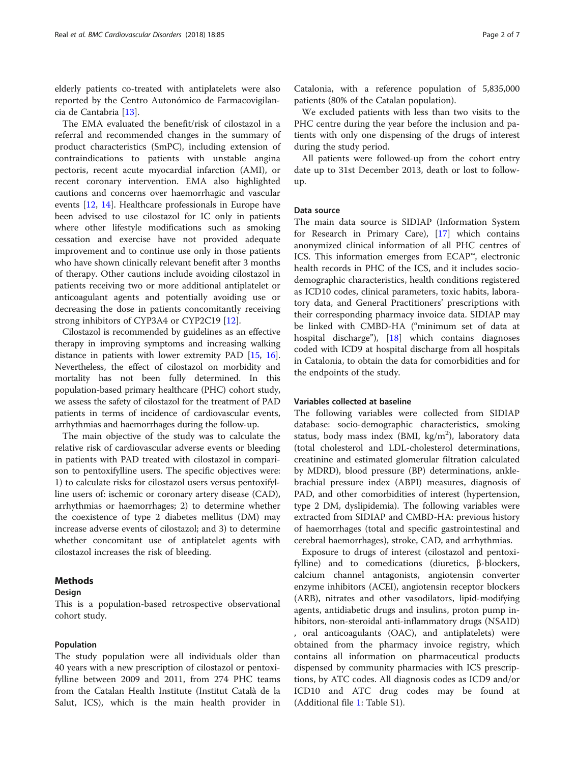elderly patients co-treated with antiplatelets were also reported by the Centro Autonómico de Farmacovigilancia de Cantabria [\[13](#page-6-0)].

The EMA evaluated the benefit/risk of cilostazol in a referral and recommended changes in the summary of product characteristics (SmPC), including extension of contraindications to patients with unstable angina pectoris, recent acute myocardial infarction (AMI), or recent coronary intervention. EMA also highlighted cautions and concerns over haemorrhagic and vascular events [\[12](#page-6-0), [14\]](#page-6-0). Healthcare professionals in Europe have been advised to use cilostazol for IC only in patients where other lifestyle modifications such as smoking cessation and exercise have not provided adequate improvement and to continue use only in those patients who have shown clinically relevant benefit after 3 months of therapy. Other cautions include avoiding cilostazol in patients receiving two or more additional antiplatelet or anticoagulant agents and potentially avoiding use or decreasing the dose in patients concomitantly receiving strong inhibitors of CYP3A4 or CYP2C19 [[12](#page-6-0)].

Cilostazol is recommended by guidelines as an effective therapy in improving symptoms and increasing walking distance in patients with lower extremity PAD [\[15](#page-6-0), [16](#page-6-0)]. Nevertheless, the effect of cilostazol on morbidity and mortality has not been fully determined. In this population-based primary healthcare (PHC) cohort study, we assess the safety of cilostazol for the treatment of PAD patients in terms of incidence of cardiovascular events, arrhythmias and haemorrhages during the follow-up.

The main objective of the study was to calculate the relative risk of cardiovascular adverse events or bleeding in patients with PAD treated with cilostazol in comparison to pentoxifylline users. The specific objectives were: 1) to calculate risks for cilostazol users versus pentoxifylline users of: ischemic or coronary artery disease (CAD), arrhythmias or haemorrhages; 2) to determine whether the coexistence of type 2 diabetes mellitus (DM) may increase adverse events of cilostazol; and 3) to determine whether concomitant use of antiplatelet agents with cilostazol increases the risk of bleeding.

# Methods

# Design

This is a population-based retrospective observational cohort study.

# Population

The study population were all individuals older than 40 years with a new prescription of cilostazol or pentoxifylline between 2009 and 2011, from 274 PHC teams from the Catalan Health Institute (Institut Català de la Salut, ICS), which is the main health provider in Catalonia, with a reference population of 5,835,000 patients (80% of the Catalan population).

We excluded patients with less than two visits to the PHC centre during the year before the inclusion and patients with only one dispensing of the drugs of interest during the study period.

All patients were followed-up from the cohort entry date up to 31st December 2013, death or lost to followup.

### Data source

The main data source is SIDIAP (Information System for Research in Primary Care), [[17\]](#page-6-0) which contains anonymized clinical information of all PHC centres of ICS. This information emerges from ECAP™, electronic health records in PHC of the ICS, and it includes sociodemographic characteristics, health conditions registered as ICD10 codes, clinical parameters, toxic habits, laboratory data, and General Practitioners' prescriptions with their corresponding pharmacy invoice data. SIDIAP may be linked with CMBD-HA ("minimum set of data at hospital discharge"), [\[18](#page-6-0)] which contains diagnoses coded with ICD9 at hospital discharge from all hospitals in Catalonia, to obtain the data for comorbidities and for the endpoints of the study.

#### Variables collected at baseline

The following variables were collected from SIDIAP database: socio-demographic characteristics, smoking status, body mass index (BMI, kg/m<sup>2</sup>), laboratory data (total cholesterol and LDL-cholesterol determinations, creatinine and estimated glomerular filtration calculated by MDRD), blood pressure (BP) determinations, anklebrachial pressure index (ABPI) measures, diagnosis of PAD, and other comorbidities of interest (hypertension, type 2 DM, dyslipidemia). The following variables were extracted from SIDIAP and CMBD-HA: previous history of haemorrhages (total and specific gastrointestinal and cerebral haemorrhages), stroke, CAD, and arrhythmias.

Exposure to drugs of interest (cilostazol and pentoxifylline) and to comedications (diuretics, β-blockers, calcium channel antagonists, angiotensin converter enzyme inhibitors (ACEI), angiotensin receptor blockers (ARB), nitrates and other vasodilators, lipid-modifying agents, antidiabetic drugs and insulins, proton pump inhibitors, non-steroidal anti-inflammatory drugs (NSAID) , oral anticoagulants (OAC), and antiplatelets) were obtained from the pharmacy invoice registry, which contains all information on pharmaceutical products dispensed by community pharmacies with ICS prescriptions, by ATC codes. All diagnosis codes as ICD9 and/or ICD10 and ATC drug codes may be found at (Additional file [1](#page-5-0): Table S1).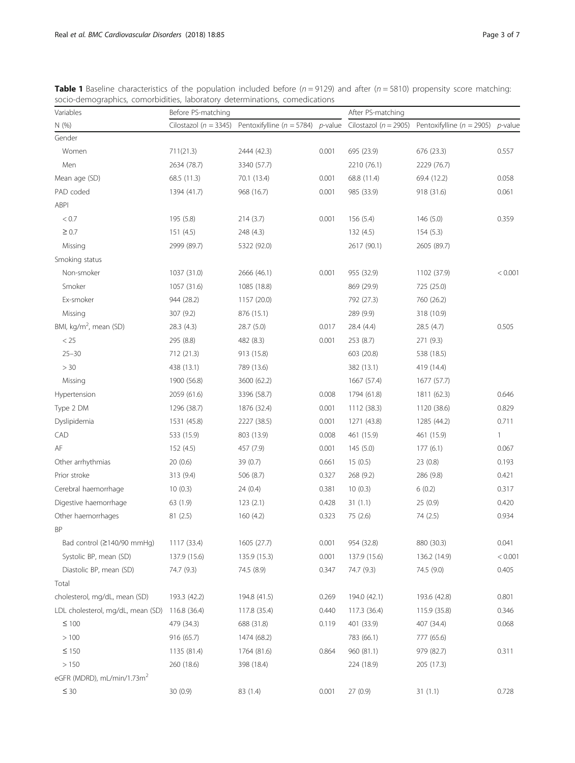| Variables                              | Before PS-matching        |                                       |       | After PS-matching         |                               |                 |  |
|----------------------------------------|---------------------------|---------------------------------------|-------|---------------------------|-------------------------------|-----------------|--|
| N(%)                                   | Cilostazol ( $n = 3345$ ) | Pentoxifylline ( $n = 5784$ ) p-value |       | Cilostazol ( $n = 2905$ ) | Pentoxifylline ( $n = 2905$ ) | <i>p</i> -value |  |
| Gender                                 |                           |                                       |       |                           |                               |                 |  |
| Women                                  | 711(21.3)                 | 2444 (42.3)                           | 0.001 | 695 (23.9)                | 676 (23.3)                    | 0.557           |  |
| Men                                    | 2634 (78.7)               | 3340 (57.7)                           |       | 2210 (76.1)               | 2229 (76.7)                   |                 |  |
| Mean age (SD)                          | 68.5 (11.3)               | 70.1 (13.4)                           | 0.001 | 68.8 (11.4)               | 69.4 (12.2)                   | 0.058           |  |
| PAD coded                              | 1394 (41.7)               | 968 (16.7)                            | 0.001 | 985 (33.9)                | 918 (31.6)                    | 0.061           |  |
| <b>ABPI</b>                            |                           |                                       |       |                           |                               |                 |  |
| < 0.7                                  | 195 (5.8)                 | 214(3.7)                              | 0.001 | 156 (5.4)                 | 146 (5.0)                     | 0.359           |  |
| $\geq 0.7$                             | 151 (4.5)                 | 248 (4.3)                             |       | 132 (4.5)                 | 154(5.3)                      |                 |  |
| Missing                                | 2999 (89.7)               | 5322 (92.0)                           |       | 2617 (90.1)               | 2605 (89.7)                   |                 |  |
| Smoking status                         |                           |                                       |       |                           |                               |                 |  |
| Non-smoker                             | 1037 (31.0)               | 2666 (46.1)                           | 0.001 | 955 (32.9)                | 1102 (37.9)                   | < 0.001         |  |
| Smoker                                 | 1057 (31.6)               | 1085 (18.8)                           |       | 869 (29.9)                | 725 (25.0)                    |                 |  |
| Ex-smoker                              | 944 (28.2)                | 1157 (20.0)                           |       | 792 (27.3)                | 760 (26.2)                    |                 |  |
| Missing                                | 307 (9.2)                 | 876 (15.1)                            |       | 289 (9.9)                 | 318 (10.9)                    |                 |  |
| BMI, kg/m <sup>2</sup> , mean (SD)     | 28.3 (4.3)                | 28.7 (5.0)                            | 0.017 | 28.4 (4.4)                | 28.5 (4.7)                    | 0.505           |  |
| < 25                                   | 295 (8.8)                 | 482 (8.3)                             | 0.001 | 253 (8.7)                 | 271 (9.3)                     |                 |  |
| $25 - 30$                              | 712 (21.3)                | 913 (15.8)                            |       | 603 (20.8)                | 538 (18.5)                    |                 |  |
| $>30\,$                                | 438 (13.1)                | 789 (13.6)                            |       | 382 (13.1)                | 419 (14.4)                    |                 |  |
| Missing                                | 1900 (56.8)               | 3600 (62.2)                           |       | 1667 (57.4)               | 1677 (57.7)                   |                 |  |
| Hypertension                           | 2059 (61.6)               | 3396 (58.7)                           | 0.008 | 1794 (61.8)               | 1811 (62.3)                   | 0.646           |  |
| Type 2 DM                              | 1296 (38.7)               | 1876 (32.4)                           | 0.001 | 1112 (38.3)               | 1120 (38.6)                   | 0.829           |  |
| Dyslipidemia                           | 1531 (45.8)               | 2227 (38.5)                           | 0.001 | 1271 (43.8)               | 1285 (44.2)                   | 0.711           |  |
| CAD                                    | 533 (15.9)                | 803 (13.9)                            | 0.008 | 461 (15.9)                | 461 (15.9)                    | 1               |  |
| AF                                     | 152 (4.5)                 | 457 (7.9)                             | 0.001 | 145 (5.0)                 | 177(6.1)                      | 0.067           |  |
| Other arrhythmias                      | 20 (0.6)                  | 39 (0.7)                              | 0.661 | 15(0.5)                   | 23(0.8)                       | 0.193           |  |
| Prior stroke                           | 313 (9.4)                 | 506 (8.7)                             | 0.327 | 268 (9.2)                 | 286 (9.8)                     | 0.421           |  |
| Cerebral haemorrhage                   | 10(0.3)                   | 24 (0.4)                              | 0.381 | 10(0.3)                   | 6(0.2)                        | 0.317           |  |
| Digestive haemorrhage                  | 63 (1.9)                  | 123(2.1)                              | 0.428 | 31(1.1)                   | 25 (0.9)                      | 0.420           |  |
| Other haemorrhages                     | 81 (2.5)                  | 160(4.2)                              | 0.323 | 75 (2.6)                  | 74 (2.5)                      | 0.934           |  |
| BP                                     |                           |                                       |       |                           |                               |                 |  |
| Bad control (≥140/90 mmHg)             | 1117 (33.4)               | 1605 (27.7)                           | 0.001 | 954 (32.8)                | 880 (30.3)                    | 0.041           |  |
| Systolic BP, mean (SD)                 | 137.9 (15.6)              | 135.9 (15.3)                          | 0.001 | 137.9 (15.6)              | 136.2 (14.9)                  | < 0.001         |  |
| Diastolic BP, mean (SD)                | 74.7 (9.3)                | 74.5 (8.9)                            | 0.347 | 74.7 (9.3)                | 74.5 (9.0)                    | 0.405           |  |
| Total                                  |                           |                                       |       |                           |                               |                 |  |
| cholesterol, mg/dL, mean (SD)          | 193.3 (42.2)              | 194.8 (41.5)                          | 0.269 | 194.0 (42.1)              | 193.6 (42.8)                  | 0.801           |  |
| LDL cholesterol, mg/dL, mean (SD)      | 116.8 (36.4)              | 117.8 (35.4)                          | 0.440 | 117.3 (36.4)              | 115.9 (35.8)                  | 0.346           |  |
| $\leq 100$                             | 479 (34.3)                | 688 (31.8)                            | 0.119 | 401 (33.9)                | 407 (34.4)                    | 0.068           |  |
| $>100$                                 | 916 (65.7)                | 1474 (68.2)                           |       | 783 (66.1)                | 777 (65.6)                    |                 |  |
| $\leq 150$                             | 1135 (81.4)               | 1764 (81.6)                           | 0.864 | 960 (81.1)                | 979 (82.7)                    | 0.311           |  |
| >150                                   | 260 (18.6)                | 398 (18.4)                            |       | 224 (18.9)                | 205 (17.3)                    |                 |  |
| eGFR (MDRD), mL/min/1.73m <sup>2</sup> |                           |                                       |       |                           |                               |                 |  |
| $\leq$ 30                              | 30 (0.9)                  | 83 (1.4)                              | 0.001 | 27 (0.9)                  | 31(1.1)                       | 0.728           |  |

<span id="page-2-0"></span>**Table 1** Baseline characteristics of the population included before ( $n = 9129$ ) and after ( $n = 5810$ ) propensity score matching: socio-demographics, comorbidities, laboratory determinations, comedications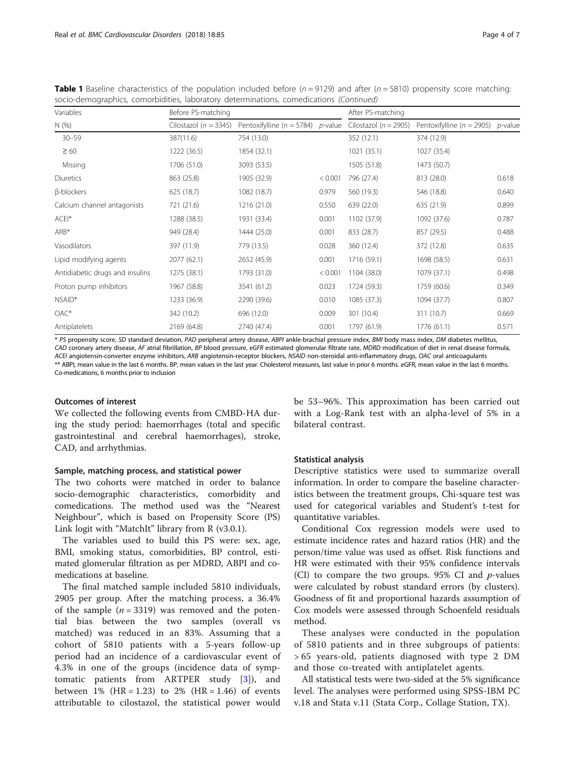| Variables                       | Before PS-matching        |                                       | After PS-matching |                           |                                       |       |
|---------------------------------|---------------------------|---------------------------------------|-------------------|---------------------------|---------------------------------------|-------|
| N(%)                            | Cilostazol ( $n = 3345$ ) | Pentoxifylline ( $n = 5784$ ) p-value |                   | Cilostazol ( $n = 2905$ ) | Pentoxifylline ( $n = 2905$ ) p-value |       |
| $30 - 59$                       | 387(11.6)                 | 754 (13.0)                            |                   | 352 (12.1)                | 374 (12.9)                            |       |
| $\geq 60$                       | 1222 (36.5)               | 1854 (32.1)                           |                   | 1021(35.1)                | 1027 (35.4)                           |       |
| Missing                         | 1706 (51.0)               | 3093 (53.5)                           |                   | 1505 (51.8)               | 1473 (50.7)                           |       |
| <b>Diuretics</b>                | 863 (25.8)                | 1905 (32.9)                           | < 0.001           | 796 (27.4)                | 813 (28.0)                            | 0.618 |
| <b><i>β-blockers</i></b>        | 625 (18.7)                | 1082 (18.7)                           | 0.979             | 560 (19.3)                | 546 (18.8)                            | 0.640 |
| Calcium channel antagonists     | 721 (21.6)                | 1216 (21.0)                           | 0.550             | 639 (22.0)                | 635 (21.9)                            | 0.899 |
| ACEI*                           | 1288 (38.5)               | 1931 (33.4)                           | 0.001             | 1102 (37.9)               | 1092 (37.6)                           | 0.787 |
| $ARB*$                          | 949 (28.4)                | 1444 (25.0)                           | 0.001             | 833 (28.7)                | 857 (29.5)                            | 0.488 |
| Vasodilators                    | 397 (11.9)                | 779 (13.5)                            | 0.028             | 360 (12.4)                | 372 (12.8)                            | 0.635 |
| Lipid modifying agents          | 2077 (62.1)               | 2652 (45.9)                           | 0.001             | 1716 (59.1)               | 1698 (58.5)                           | 0.631 |
| Antidiabetic drugs and insulins | 1275 (38.1)               | 1793 (31.0)                           | < 0.001           | 1104 (38.0)               | 1079 (37.1)                           | 0.498 |
| Proton pump inhibitors          | 1967 (58.8)               | 3541 (61.2)                           | 0.023             | 1724 (59.3)               | 1759 (60.6)                           | 0.349 |
| NSAID*                          | 1233 (36.9)               | 2290 (39.6)                           | 0.010             | 1085 (37.3)               | 1094 (37.7)                           | 0.807 |
| $OAC*$                          | 342 (10.2)                | 696 (12.0)                            | 0.009             | 301 (10.4)                | 311 (10.7)                            | 0.669 |
| Antiplatelets                   | 2169 (64.8)               | 2740 (47.4)                           | 0.001             | 1797 (61.9)               | 1776 (61.1)                           | 0.571 |

**Table 1** Baseline characteristics of the population included before  $(n = 9129)$  and after  $(n = 5810)$  propensity score matching: socio-demographics, comorbidities, laboratory determinations, comedications (Continued)

\* PS propensity score, SD standard deviation, PAD peripheral artery disease, ABPI ankle-brachial pressure index, BMI body mass index, DM diabetes mellitus, CAD coronary artery disease, AF atrial fibrillation, BP blood pressure, eGFR estimated glomerular filtrate rate, MDRD modification of diet in renal disease formula, ACEI angiotensin-converter enzyme inhibitors, ARB angiotensin-receptor blockers, NSAID non-steroidal anti-inflammatory drugs, OAC oral anticoagulants \*\* ABPI, mean value in the last 6 months. BP, mean values in the last year. Cholesterol measures, last value in prior 6 months. eGFR, mean value in the last 6 months. Co-medications, 6 months prior to inclusion

#### Outcomes of interest

We collected the following events from CMBD-HA during the study period: haemorrhages (total and specific gastrointestinal and cerebral haemorrhages), stroke, CAD, and arrhythmias.

#### Sample, matching process, and statistical power

The two cohorts were matched in order to balance socio-demographic characteristics, comorbidity and comedications. The method used was the "Nearest Neighbour", which is based on Propensity Score (PS) Link logit with "MatchIt" library from R (v3.0.1).

The variables used to build this PS were: sex, age, BMI, smoking status, comorbidities, BP control, estimated glomerular filtration as per MDRD, ABPI and comedications at baseline.

The final matched sample included 5810 individuals, 2905 per group. After the matching process, a 36.4% of the sample  $(n = 3319)$  was removed and the potential bias between the two samples (overall vs matched) was reduced in an 83%. Assuming that a cohort of 5810 patients with a 5-years follow-up period had an incidence of a cardiovascular event of 4.3% in one of the groups (incidence data of symptomatic patients from ARTPER study [[3\]](#page-6-0)), and between 1% (HR = 1.23) to 2% (HR = 1.46) of events attributable to cilostazol, the statistical power would

be 53–96%. This approximation has been carried out with a Log-Rank test with an alpha-level of 5% in a bilateral contrast.

# Statistical analysis

Descriptive statistics were used to summarize overall information. In order to compare the baseline characteristics between the treatment groups, Chi-square test was used for categorical variables and Student's t-test for quantitative variables.

Conditional Cox regression models were used to estimate incidence rates and hazard ratios (HR) and the person/time value was used as offset. Risk functions and HR were estimated with their 95% confidence intervals (CI) to compare the two groups.  $95\%$  CI and  $p$ -values were calculated by robust standard errors (by clusters). Goodness of fit and proportional hazards assumption of Cox models were assessed through Schoenfeld residuals method.

These analyses were conducted in the population of 5810 patients and in three subgroups of patients: > 65 years-old, patients diagnosed with type 2 DM and those co-treated with antiplatelet agents.

All statistical tests were two-sided at the 5% significance level. The analyses were performed using SPSS-IBM PC v.18 and Stata v.11 (Stata Corp., Collage Station, TX).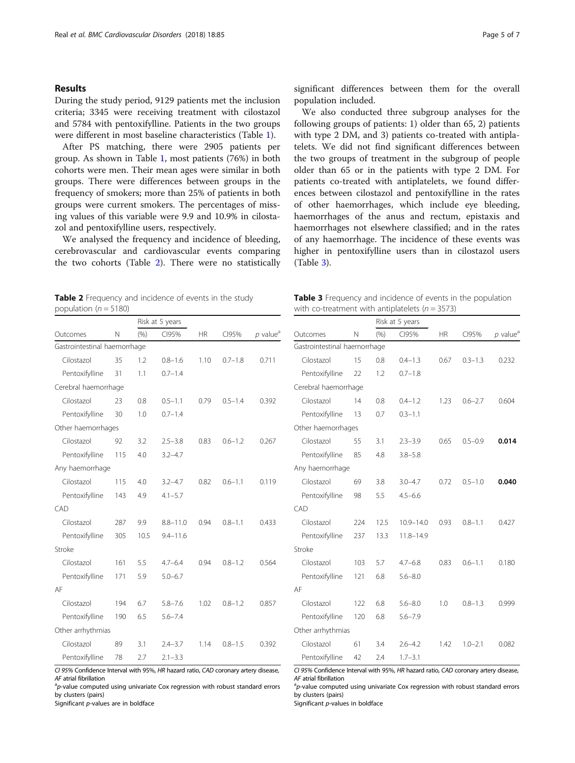# Results

During the study period, 9129 patients met the inclusion criteria; 3345 were receiving treatment with cilostazol and 5784 with pentoxifylline. Patients in the two groups were different in most baseline characteristics (Table [1](#page-2-0)).

After PS matching, there were 2905 patients per group. As shown in Table [1,](#page-2-0) most patients (76%) in both cohorts were men. Their mean ages were similar in both groups. There were differences between groups in the frequency of smokers; more than 25% of patients in both groups were current smokers. The percentages of missing values of this variable were 9.9 and 10.9% in cilostazol and pentoxifylline users, respectively.

We analysed the frequency and incidence of bleeding, cerebrovascular and cardiovascular events comparing the two cohorts (Table 2). There were no statistically

Table 2 Frequency and incidence of events in the study population ( $n = 5180$ )

Gastrointestinal haemorrhage

Cerebral haemorrhage

Pentoxifylline 31 1.1 0.7-1.4

Risk at 5 years Outcomes N (%) CI95% HR CI95% *p* value<sup>a</sup>

Cilostazol 35 1.2 0.8–1.6 1.10 0.7–1.8 0.711

Cilostazol 23 0.8 0.5–1.1 0.79 0.5–1.4 0.392

significant differences between them for the overall population included.

We also conducted three subgroup analyses for the following groups of patients: 1) older than 65, 2) patients with type 2 DM, and 3) patients co-treated with antiplatelets. We did not find significant differences between the two groups of treatment in the subgroup of people older than 65 or in the patients with type 2 DM. For patients co-treated with antiplatelets, we found differences between cilostazol and pentoxifylline in the rates of other haemorrhages, which include eye bleeding, haemorrhages of the anus and rectum, epistaxis and haemorrhages not elsewhere classified; and in the rates of any haemorrhage. The incidence of these events was higher in pentoxifylline users than in cilostazol users (Table 3).

| Table 3 Frequency and incidence of events in the population |  |
|-------------------------------------------------------------|--|
| with co-treatment with antiplatelets ( $n = 3573$ )         |  |

| 30                 | 1.0                                                                                                                                                                | $0.7 - 1.4$  |      |             |       |  |  |
|--------------------|--------------------------------------------------------------------------------------------------------------------------------------------------------------------|--------------|------|-------------|-------|--|--|
| Other haemorrhages |                                                                                                                                                                    |              |      |             |       |  |  |
| 92                 | 3.2                                                                                                                                                                | $2.5 - 3.8$  | 0.83 | $0.6 - 1.2$ | 0.267 |  |  |
| 115                | 4.0                                                                                                                                                                | $3.2 - 4.7$  |      |             |       |  |  |
|                    |                                                                                                                                                                    |              |      |             |       |  |  |
| 115                | 4.0                                                                                                                                                                | $3.2 - 4.7$  | 0.82 | $0.6 - 1.1$ | 0.119 |  |  |
| 143                | 4.9                                                                                                                                                                | $4.1 - 5.7$  |      |             |       |  |  |
|                    |                                                                                                                                                                    |              |      |             |       |  |  |
| 287                | 9.9                                                                                                                                                                | $8.8 - 11.0$ | 0.94 | $0.8 - 1.1$ | 0.433 |  |  |
| 305                | 10.5                                                                                                                                                               | $9.4 - 11.6$ |      |             |       |  |  |
|                    |                                                                                                                                                                    |              |      |             |       |  |  |
| 161                | 5.5                                                                                                                                                                | $4.7 - 6.4$  | 0.94 | $0.8 - 1.2$ | 0.564 |  |  |
| 171                | 5.9                                                                                                                                                                | $5.0 - 6.7$  |      |             |       |  |  |
|                    |                                                                                                                                                                    |              |      |             |       |  |  |
| 194                | 6.7                                                                                                                                                                | $5.8 - 7.6$  | 1.02 | $0.8 - 1.2$ | 0.857 |  |  |
| 190                | 6.5                                                                                                                                                                | $5.6 - 7.4$  |      |             |       |  |  |
|                    |                                                                                                                                                                    |              |      |             |       |  |  |
| 89                 | 3.1                                                                                                                                                                | $2.4 - 3.7$  | 1.14 | $0.8 - 1.5$ | 0.392 |  |  |
| 78                 | 2.7                                                                                                                                                                | $2.1 - 3.3$  |      |             |       |  |  |
|                    | Pentoxifylline<br>Pentoxifylline<br>Any haemorrhage<br>Pentoxifylline<br>Pentoxifylline<br>Pentoxifylline<br>Pentoxifylline<br>Other arrhythmias<br>Pentoxifylline |              |      |             |       |  |  |

CI 95% Confidence Interval with 95%, HR hazard ratio, CAD coronary artery disease, AF atrial fibrillation

 $a$ <sub>p</sub>-value computed using univariate Cox regression with robust standard errors by clusters (pairs)

Significant p-values are in boldface

|                              |                      | Risk at 5 years |               |           |             |                        |  |  |
|------------------------------|----------------------|-----------------|---------------|-----------|-------------|------------------------|--|--|
| Outcomes                     | N                    | (%)             | CI95%         | <b>HR</b> | CI95%       | $p$ value <sup>a</sup> |  |  |
| Gastrointestinal haemorrhage |                      |                 |               |           |             |                        |  |  |
| Cilostazol                   | 15                   | 0.8             | $0.4 - 1.3$   | 0.67      | $0.3 - 1.3$ | 0.232                  |  |  |
| Pentoxifylline               | 22                   | 1.2             | $0.7 - 1.8$   |           |             |                        |  |  |
|                              | Cerebral haemorrhage |                 |               |           |             |                        |  |  |
| Cilostazol                   | 14                   | 0.8             | $0.4 - 1.2$   | 1.23      | $0.6 - 2.7$ | 0.604                  |  |  |
| Pentoxifylline               | 13                   | 0.7             | $0.3 - 1.1$   |           |             |                        |  |  |
| Other haemorrhages           |                      |                 |               |           |             |                        |  |  |
| Cilostazol                   | 55                   | 3.1             | $2.3 - 3.9$   | 0.65      | $0.5 - 0.9$ | 0.014                  |  |  |
| Pentoxifylline               | 85                   | 4.8             | $3.8 - 5.8$   |           |             |                        |  |  |
| Any haemorrhage              |                      |                 |               |           |             |                        |  |  |
| Cilostazol                   | 69                   | 3.8             | $3.0 - 4.7$   | 0.72      | $0.5 - 1.0$ | 0.040                  |  |  |
| Pentoxifylline               | 98                   | 5.5             | $4.5 - 6.6$   |           |             |                        |  |  |
| CAD                          |                      |                 |               |           |             |                        |  |  |
| Cilostazol                   | 224                  | 12.5            | $10.9 - 14.0$ | 0.93      | $0.8 - 1.1$ | 0.427                  |  |  |
| Pentoxifylline               | 237                  | 13.3            | $11.8 - 14.9$ |           |             |                        |  |  |
| Stroke                       |                      |                 |               |           |             |                        |  |  |
| Cilostazol                   | 103                  | 5.7             | $4.7 - 6.8$   | 0.83      | $0.6 - 1.1$ | 0.180                  |  |  |
| Pentoxifylline               | 121                  | 6.8             | $5.6 - 8.0$   |           |             |                        |  |  |
| AF                           |                      |                 |               |           |             |                        |  |  |
| Cilostazol                   | 122                  | 6.8             | $5.6 - 8.0$   | 1.0       | $0.8 - 1.3$ | 0.999                  |  |  |
| Pentoxifylline               | 120                  | 6.8             | $5.6 - 7.9$   |           |             |                        |  |  |
| Other arrhythmias            |                      |                 |               |           |             |                        |  |  |
| Cilostazol                   | 61                   | 3.4             | $2.6 - 4.2$   | 1.42      | $1.0 - 2.1$ | 0.082                  |  |  |
| Pentoxifylline               | 42                   | 2.4             | $1.7 - 3.1$   |           |             |                        |  |  |

CI 95% Confidence Interval with 95%, HR hazard ratio, CAD coronary artery disease, AF atrial fibrillation

 ${}^{a}p$ -value computed using univariate Cox regression with robust standard errors by clusters (pairs)

Significant p-values in boldface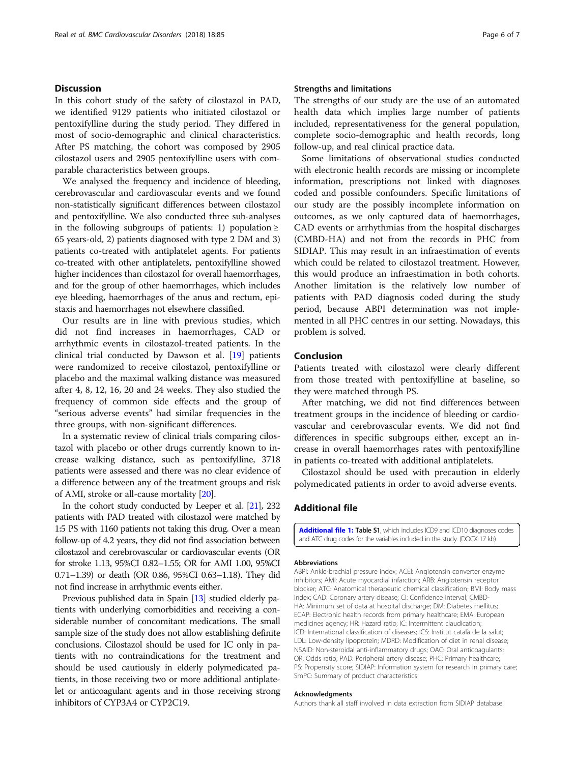# <span id="page-5-0"></span>**Discussion**

In this cohort study of the safety of cilostazol in PAD, we identified 9129 patients who initiated cilostazol or pentoxifylline during the study period. They differed in most of socio-demographic and clinical characteristics. After PS matching, the cohort was composed by 2905 cilostazol users and 2905 pentoxifylline users with comparable characteristics between groups.

We analysed the frequency and incidence of bleeding, cerebrovascular and cardiovascular events and we found non-statistically significant differences between cilostazol and pentoxifylline. We also conducted three sub-analyses in the following subgroups of patients: 1) population  $\geq$ 65 years-old, 2) patients diagnosed with type 2 DM and 3) patients co-treated with antiplatelet agents. For patients co-treated with other antiplatelets, pentoxifylline showed higher incidences than cilostazol for overall haemorrhages, and for the group of other haemorrhages, which includes eye bleeding, haemorrhages of the anus and rectum, epistaxis and haemorrhages not elsewhere classified.

Our results are in line with previous studies, which did not find increases in haemorrhages, CAD or arrhythmic events in cilostazol-treated patients. In the clinical trial conducted by Dawson et al. [\[19](#page-6-0)] patients were randomized to receive cilostazol, pentoxifylline or placebo and the maximal walking distance was measured after 4, 8, 12, 16, 20 and 24 weeks. They also studied the frequency of common side effects and the group of "serious adverse events" had similar frequencies in the three groups, with non-significant differences.

In a systematic review of clinical trials comparing cilostazol with placebo or other drugs currently known to increase walking distance, such as pentoxifylline, 3718 patients were assessed and there was no clear evidence of a difference between any of the treatment groups and risk of AMI, stroke or all-cause mortality [[20](#page-6-0)].

In the cohort study conducted by Leeper et al. [\[21\]](#page-6-0), 232 patients with PAD treated with cilostazol were matched by 1:5 PS with 1160 patients not taking this drug. Over a mean follow-up of 4.2 years, they did not find association between cilostazol and cerebrovascular or cardiovascular events (OR for stroke 1.13, 95%CI 0.82–1.55; OR for AMI 1.00, 95%CI 0.71–1.39) or death (OR 0.86, 95%CI 0.63–1.18). They did not find increase in arrhythmic events either.

Previous published data in Spain [\[13\]](#page-6-0) studied elderly patients with underlying comorbidities and receiving a considerable number of concomitant medications. The small sample size of the study does not allow establishing definite conclusions. Cilostazol should be used for IC only in patients with no contraindications for the treatment and should be used cautiously in elderly polymedicated patients, in those receiving two or more additional antiplatelet or anticoagulant agents and in those receiving strong inhibitors of CYP3A4 or CYP2C19.

# Strengths and limitations

The strengths of our study are the use of an automated health data which implies large number of patients included, representativeness for the general population, complete socio-demographic and health records, long follow-up, and real clinical practice data.

Some limitations of observational studies conducted with electronic health records are missing or incomplete information, prescriptions not linked with diagnoses coded and possible confounders. Specific limitations of our study are the possibly incomplete information on outcomes, as we only captured data of haemorrhages, CAD events or arrhythmias from the hospital discharges (CMBD-HA) and not from the records in PHC from SIDIAP. This may result in an infraestimation of events which could be related to cilostazol treatment. However, this would produce an infraestimation in both cohorts. Another limitation is the relatively low number of patients with PAD diagnosis coded during the study period, because ABPI determination was not implemented in all PHC centres in our setting. Nowadays, this problem is solved.

# Conclusion

Patients treated with cilostazol were clearly different from those treated with pentoxifylline at baseline, so they were matched through PS.

After matching, we did not find differences between treatment groups in the incidence of bleeding or cardiovascular and cerebrovascular events. We did not find differences in specific subgroups either, except an increase in overall haemorrhages rates with pentoxifylline in patients co-treated with additional antiplatelets.

Cilostazol should be used with precaution in elderly polymedicated patients in order to avoid adverse events.

# Additional file

[Additional file 1:](https://doi.org/10.1186/s12872-018-0822-4) Table S1, which includes ICD9 and ICD10 diagnoses codes and ATC drug codes for the variables included in the study. (DOCX 17 kb)

#### Abbreviations

ABPI: Ankle-brachial pressure index; ACEI: Angiotensin converter enzyme inhibitors; AMI: Acute myocardial infarction; ARB: Angiotensin receptor blocker; ATC: Anatomical therapeutic chemical classification; BMI: Body mass index; CAD: Coronary artery disease; CI: Confidence interval; CMBD-HA: Minimum set of data at hospital discharge; DM: Diabetes mellitus; ECAP: Electronic health records from primary healthcare; EMA: European medicines agency; HR: Hazard ratio; IC: Intermittent claudication; ICD: International classification of diseases; ICS: Institut català de la salut; LDL: Low-density lipoprotein; MDRD: Modification of diet in renal disease; NSAID: Non-steroidal anti-inflammatory drugs; OAC: Oral anticoagulants; OR: Odds ratio; PAD: Peripheral artery disease; PHC: Primary healthcare; PS: Propensity score; SIDIAP: Information system for research in primary care; SmPC: Summary of product characteristics

#### Acknowledgments

Authors thank all staff involved in data extraction from SIDIAP database.